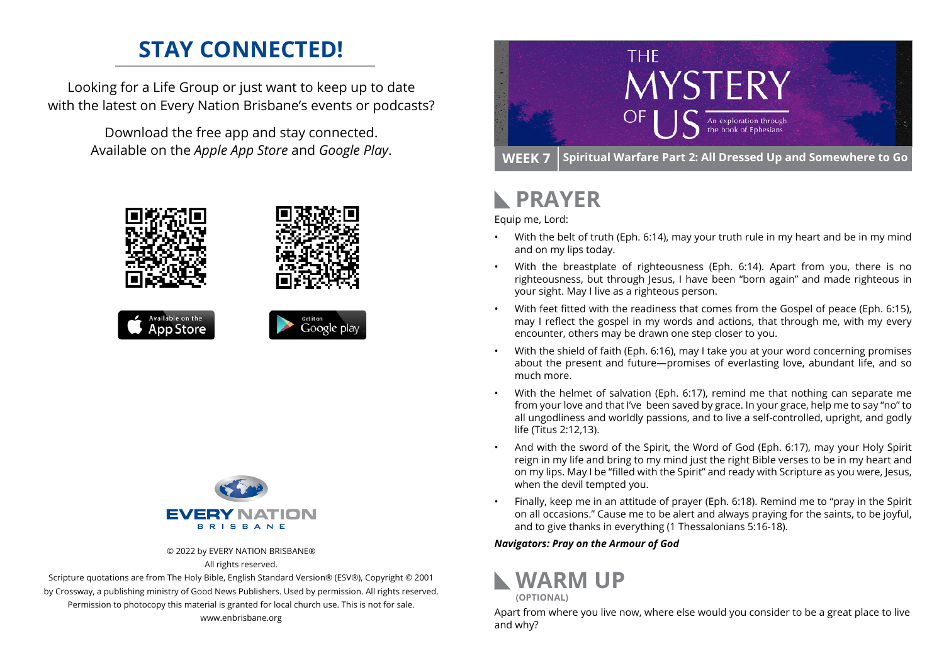## **STAY CONNECTED!**

Looking for a Life Group or just want to keep up to date with the latest on Every Nation Brisbane's events or podcasts?

> Download the free app and stay connected. Available on the *Apple App Store* and *Google Play*.





© 2022 by EVERY NATION BRISBANE®

All rights reserved.

Scripture quotations are from The Holy Bible, English Standard Version® (ESV®), Copyright © 2001 by Crossway, a publishing ministry of Good News Publishers. Used by permission. All rights reserved. Permission to photocopy this material is granted for local church use. This is not for sale. www.enbrisbane.org



## **PRAYER**

Equip me, Lord:

- With the belt of truth (Eph. 6:14), may your truth rule in my heart and be in my mind and on my lips today.
- With the breastplate of righteousness (Eph. 6:14). Apart from you, there is no righteousness, but through Jesus, I have been "born again" and made righteous in your sight. May I live as a righteous person.
- With feet fitted with the readiness that comes from the Gospel of peace (Eph. 6:15), may I reflect the gospel in my words and actions, that through me, with my every encounter, others may be drawn one step closer to you.
- With the shield of faith (Eph. 6:16), may I take you at your word concerning promises about the present and future—promises of everlasting love, abundant life, and so much more.
- With the helmet of salvation (Eph. 6:17), remind me that nothing can separate me from your love and that I've been saved by grace. In your grace, help me to say "no" to all ungodliness and worldly passions, and to live a self-controlled, upright, and godly life (Titus 2:12,13).
- And with the sword of the Spirit, the Word of God (Eph. 6:17), may your Holy Spirit reign in my life and bring to my mind just the right Bible verses to be in my heart and on my lips. May I be "filled with the Spirit" and ready with Scripture as you were, Jesus, when the devil tempted you.
- Finally, keep me in an attitude of prayer (Eph. 6:18). Remind me to "pray in the Spirit on all occasions." Cause me to be alert and always praying for the saints, to be joyful, and to give thanks in everything (1 Thessalonians 5:16-18).

### *Navigators: Pray on the Armour of God*



Apart from where you live now, where else would you consider to be a great place to live and why?